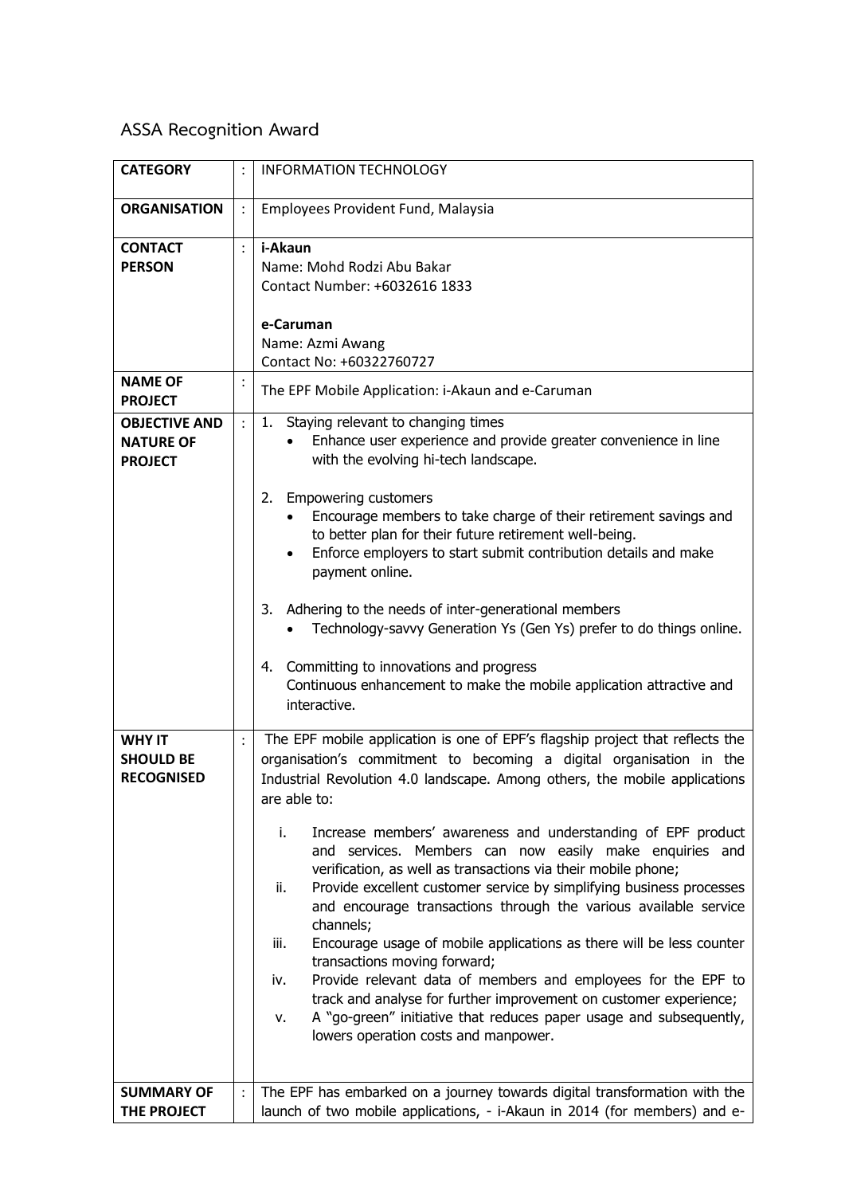## **ASSA Recognition Award**

| <b>CATEGORY</b>                                            |                | <b>INFORMATION TECHNOLOGY</b>                                                                                                                                                                                                                                                                                                                                                                                                                                                                                                                                                                                                                                                                                                                                                                                                                                                                                                                                                                         |
|------------------------------------------------------------|----------------|-------------------------------------------------------------------------------------------------------------------------------------------------------------------------------------------------------------------------------------------------------------------------------------------------------------------------------------------------------------------------------------------------------------------------------------------------------------------------------------------------------------------------------------------------------------------------------------------------------------------------------------------------------------------------------------------------------------------------------------------------------------------------------------------------------------------------------------------------------------------------------------------------------------------------------------------------------------------------------------------------------|
| <b>ORGANISATION</b>                                        | $\ddot{\cdot}$ | Employees Provident Fund, Malaysia                                                                                                                                                                                                                                                                                                                                                                                                                                                                                                                                                                                                                                                                                                                                                                                                                                                                                                                                                                    |
| <b>CONTACT</b><br><b>PERSON</b>                            | $\ddot{\cdot}$ | i-Akaun<br>Name: Mohd Rodzi Abu Bakar<br>Contact Number: +6032616 1833<br>e-Caruman<br>Name: Azmi Awang<br>Contact No: +60322760727                                                                                                                                                                                                                                                                                                                                                                                                                                                                                                                                                                                                                                                                                                                                                                                                                                                                   |
| <b>NAME OF</b><br><b>PROJECT</b>                           |                | The EPF Mobile Application: i-Akaun and e-Caruman                                                                                                                                                                                                                                                                                                                                                                                                                                                                                                                                                                                                                                                                                                                                                                                                                                                                                                                                                     |
| <b>OBJECTIVE AND</b><br><b>NATURE OF</b><br><b>PROJECT</b> | $\ddot{\cdot}$ | Staying relevant to changing times<br>1.<br>Enhance user experience and provide greater convenience in line<br>with the evolving hi-tech landscape.<br><b>Empowering customers</b><br>2.                                                                                                                                                                                                                                                                                                                                                                                                                                                                                                                                                                                                                                                                                                                                                                                                              |
|                                                            |                | Encourage members to take charge of their retirement savings and<br>to better plan for their future retirement well-being.<br>Enforce employers to start submit contribution details and make<br>payment online.                                                                                                                                                                                                                                                                                                                                                                                                                                                                                                                                                                                                                                                                                                                                                                                      |
|                                                            |                | Adhering to the needs of inter-generational members<br>3.<br>Technology-savvy Generation Ys (Gen Ys) prefer to do things online.                                                                                                                                                                                                                                                                                                                                                                                                                                                                                                                                                                                                                                                                                                                                                                                                                                                                      |
|                                                            |                | Committing to innovations and progress<br>4.<br>Continuous enhancement to make the mobile application attractive and<br>interactive.                                                                                                                                                                                                                                                                                                                                                                                                                                                                                                                                                                                                                                                                                                                                                                                                                                                                  |
| <b>WHY IT</b><br><b>SHOULD BE</b><br><b>RECOGNISED</b>     | :              | The EPF mobile application is one of EPF's flagship project that reflects the<br>organisation's commitment to becoming a digital organisation in the<br>Industrial Revolution 4.0 landscape. Among others, the mobile applications<br>are able to:<br>i.<br>Increase members' awareness and understanding of EPF product<br>and services. Members can now easily make enquiries and<br>verification, as well as transactions via their mobile phone;<br>Provide excellent customer service by simplifying business processes<br>ii.<br>and encourage transactions through the various available service<br>channels;<br>Encourage usage of mobile applications as there will be less counter<br>iii.<br>transactions moving forward;<br>Provide relevant data of members and employees for the EPF to<br>iv.<br>track and analyse for further improvement on customer experience;<br>A "go-green" initiative that reduces paper usage and subsequently,<br>ν.<br>lowers operation costs and manpower. |
| <b>SUMMARY OF</b><br>THE PROJECT                           | :              | The EPF has embarked on a journey towards digital transformation with the<br>launch of two mobile applications, - i-Akaun in 2014 (for members) and e-                                                                                                                                                                                                                                                                                                                                                                                                                                                                                                                                                                                                                                                                                                                                                                                                                                                |